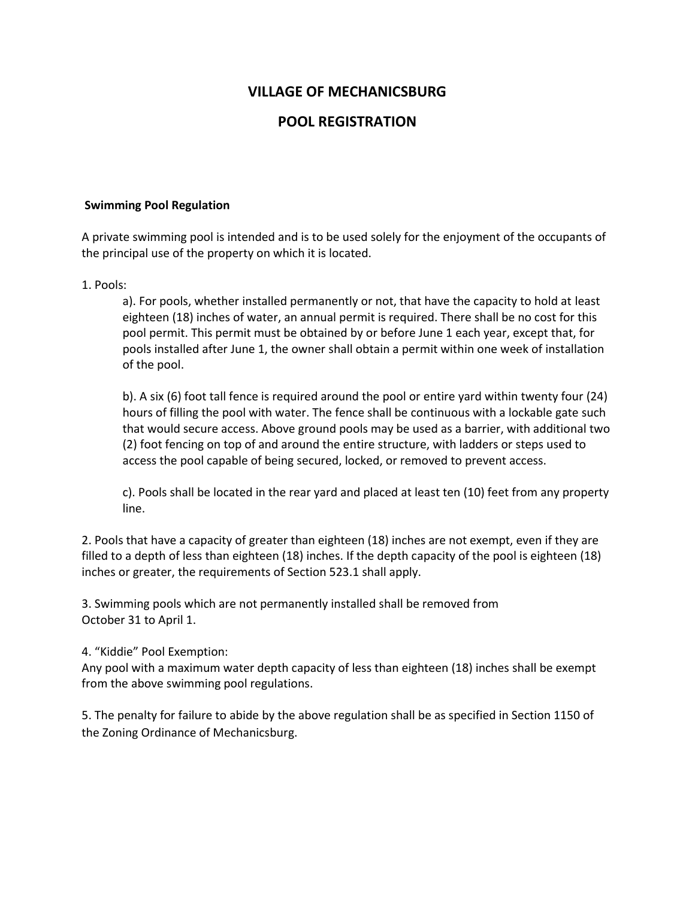## **VILLAGE OF MECHANICSBURG**

## **POOL REGISTRATION**

### **Swimming Pool Regulation**

A private swimming pool is intended and is to be used solely for the enjoyment of the occupants of the principal use of the property on which it is located.

### 1. Pools:

a). For pools, whether installed permanently or not, that have the capacity to hold at least eighteen (18) inches of water, an annual permit is required. There shall be no cost for this pool permit. This permit must be obtained by or before June 1 each year, except that, for pools installed after June 1, the owner shall obtain a permit within one week of installation of the pool.

b). A six (6) foot tall fence is required around the pool or entire yard within twenty four (24) hours of filling the pool with water. The fence shall be continuous with a lockable gate such that would secure access. Above ground pools may be used as a barrier, with additional two (2) foot fencing on top of and around the entire structure, with ladders or steps used to access the pool capable of being secured, locked, or removed to prevent access.

c). Pools shall be located in the rear yard and placed at least ten (10) feet from any property line.

2. Pools that have a capacity of greater than eighteen (18) inches are not exempt, even if they are filled to a depth of less than eighteen (18) inches. If the depth capacity of the pool is eighteen (18) inches or greater, the requirements of Section 523.1 shall apply.

3. Swimming pools which are not permanently installed shall be removed from October 31 to April 1.

#### 4. "Kiddie" Pool Exemption:

Any pool with a maximum water depth capacity of less than eighteen (18) inches shall be exempt from the above swimming pool regulations.

5. The penalty for failure to abide by the above regulation shall be as specified in Section 1150 of the Zoning Ordinance of Mechanicsburg.